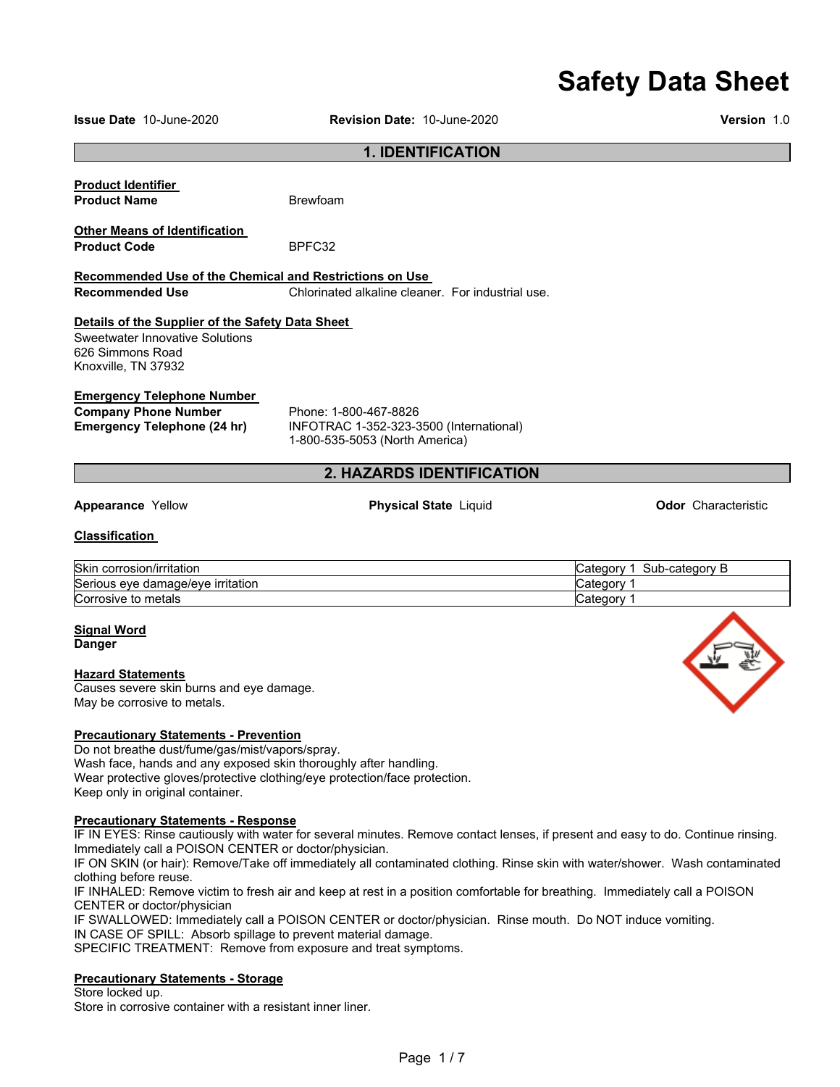# **Safety Data Sheet**

**Issue Date** 10-June-2020 **Revision Date:** 10-June-2020 **Version** 1.0

# **1. IDENTIFICATION Product Identifier Product Name Brewfoam Other Means of Identification Product Code BPFC32 Recommended Use of the Chemical and Restrictions on Use Recommended Use** Chlorinated alkaline cleaner. For industrial use. **Details of the Supplier of the Safety Data Sheet**  Sweetwater Innovative Solutions 626 Simmons Road Knoxville, TN 37932 **Emergency Telephone Number Company Phone Number** Phone: 1-800-467-8826 **Emergency Telephone (24 hr)** INFOTRAC 1-352-323-3500 (International)

# **2. HAZARDS IDENTIFICATION**

1-800-535-5053 (North America)

**Appearance** Yellow **Physical State** Liquid **Odor** Characteristic

#### **Classification**

| Skin<br>corrosion/irritation                       | ∵ategorvٽ<br>Sub−<br>-category<br>P |
|----------------------------------------------------|-------------------------------------|
| ∽<br>s eve damage/eve irritation<br><b>Serious</b> | ″ atedor∨ب                          |
| ∽<br>Corrosive to metals                           | Category<br>. .                     |

# **Signal Word**

**Danger** 

#### **Hazard Statements**

Causes severe skin burns and eye damage. May be corrosive to metals.

#### **Precautionary Statements - Prevention**

Do not breathe dust/fume/gas/mist/vapors/spray. Wash face, hands and any exposed skin thoroughly after handling. Wear protective gloves/protective clothing/eye protection/face protection. Keep only in original container.

#### **Precautionary Statements - Response**

IF IN EYES: Rinse cautiously with water for several minutes. Remove contact lenses, if present and easy to do. Continue rinsing. Immediately call a POISON CENTER or doctor/physician.

IF ON SKIN (or hair): Remove/Take off immediately all contaminated clothing. Rinse skin with water/shower. Wash contaminated clothing before reuse.

IF INHALED: Remove victim to fresh air and keep at rest in a position comfortable for breathing. Immediately call a POISON CENTER or doctor/physician

IF SWALLOWED: Immediately call a POISON CENTER or doctor/physician. Rinse mouth. Do NOT induce vomiting. IN CASE OF SPILL: Absorb spillage to prevent material damage.

SPECIFIC TREATMENT: Remove from exposure and treat symptoms.

#### **Precautionary Statements - Storage**

Store locked up. Store in corrosive container with a resistant inner liner.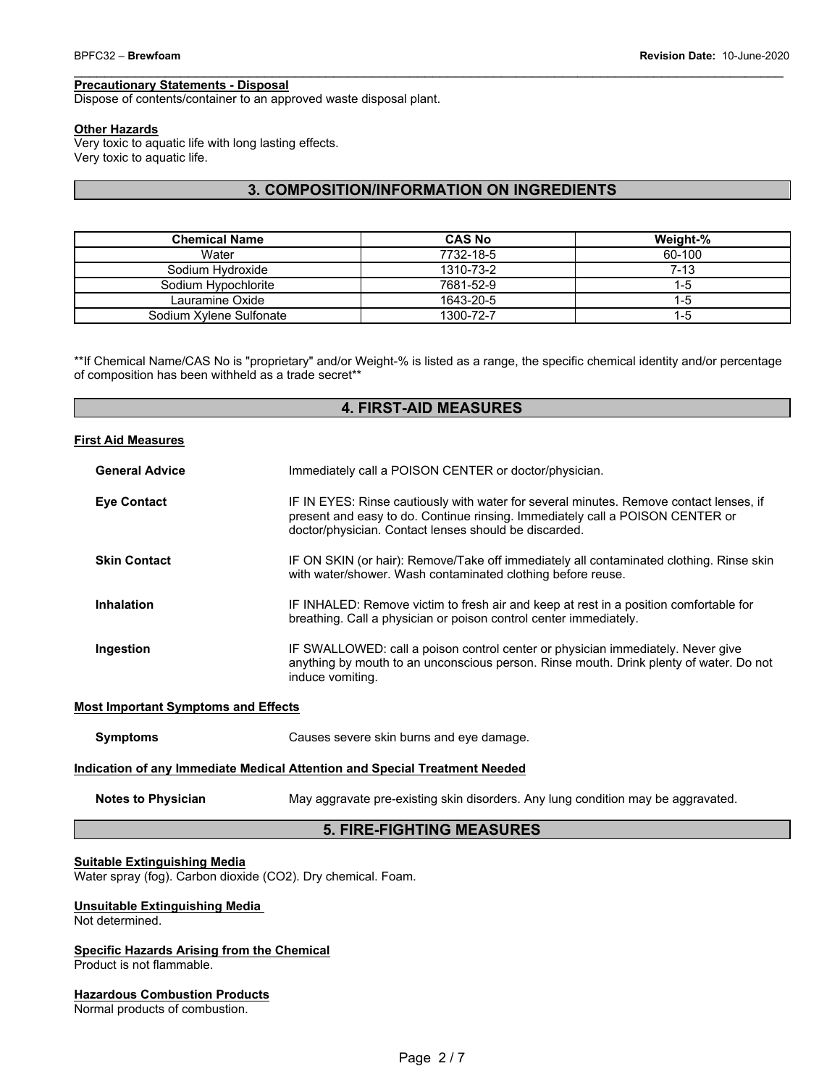#### **Precautionary Statements - Disposal**

Dispose of contents/container to an approved waste disposal plant.

#### **Other Hazards**

Very toxic to aquatic life with long lasting effects. Very toxic to aquatic life.

### **3. COMPOSITION/INFORMATION ON INGREDIENTS**

| <b>Chemical Name</b>    | <b>CAS No</b> | Weight-% |
|-------------------------|---------------|----------|
| Water                   | 7732-18-5     | 60-100   |
| Sodium Hydroxide        | 1310-73-2     | $7 - 13$ |
| Sodium Hypochlorite     | 7681-52-9     | 1-5      |
| Lauramine Oxide         | 1643-20-5     | 1-5      |
| Sodium Xylene Sulfonate | 1300-72-7     | 1-5      |

\*\*If Chemical Name/CAS No is "proprietary" and/or Weight-% is listed as a range, the specific chemical identity and/or percentage of composition has been withheld as a trade secret\*\*

#### **4. FIRST-AID MEASURES**

#### **First Aid Measures**

| <b>General Advice</b> | Immediately call a POISON CENTER or doctor/physician.                                                                                                                                                                            |
|-----------------------|----------------------------------------------------------------------------------------------------------------------------------------------------------------------------------------------------------------------------------|
| <b>Eye Contact</b>    | IF IN EYES: Rinse cautiously with water for several minutes. Remove contact lenses, if<br>present and easy to do. Continue rinsing. Immediately call a POISON CENTER or<br>doctor/physician. Contact lenses should be discarded. |
| <b>Skin Contact</b>   | IF ON SKIN (or hair): Remove/Take off immediately all contaminated clothing. Rinse skin<br>with water/shower. Wash contaminated clothing before reuse.                                                                           |
| Inhalation            | IF INHALED: Remove victim to fresh air and keep at rest in a position comfortable for<br>breathing. Call a physician or poison control center immediately.                                                                       |
| Ingestion             | IF SWALLOWED: call a poison control center or physician immediately. Never give<br>anything by mouth to an unconscious person. Rinse mouth. Drink plenty of water. Do not<br>induce vomiting.                                    |

#### **Most Important Symptoms and Effects**

| <b>Symptoms</b> | Causes severe skin burns and eve damage. |
|-----------------|------------------------------------------|
|-----------------|------------------------------------------|

#### **Indication of any Immediate Medical Attention and Special Treatment Needed**

**Notes to Physician <b>May aggravate pre-existing skin** disorders. Any lung condition may be aggravated.

# **5. FIRE-FIGHTING MEASURES**

#### **Suitable Extinguishing Media**

Water spray (fog). Carbon dioxide (CO2). Dry chemical. Foam.

#### **Unsuitable Extinguishing Media**

Not determined.

# **Specific Hazards Arising from the Chemical**

Product is not flammable.

#### **Hazardous Combustion Products**

Normal products of combustion.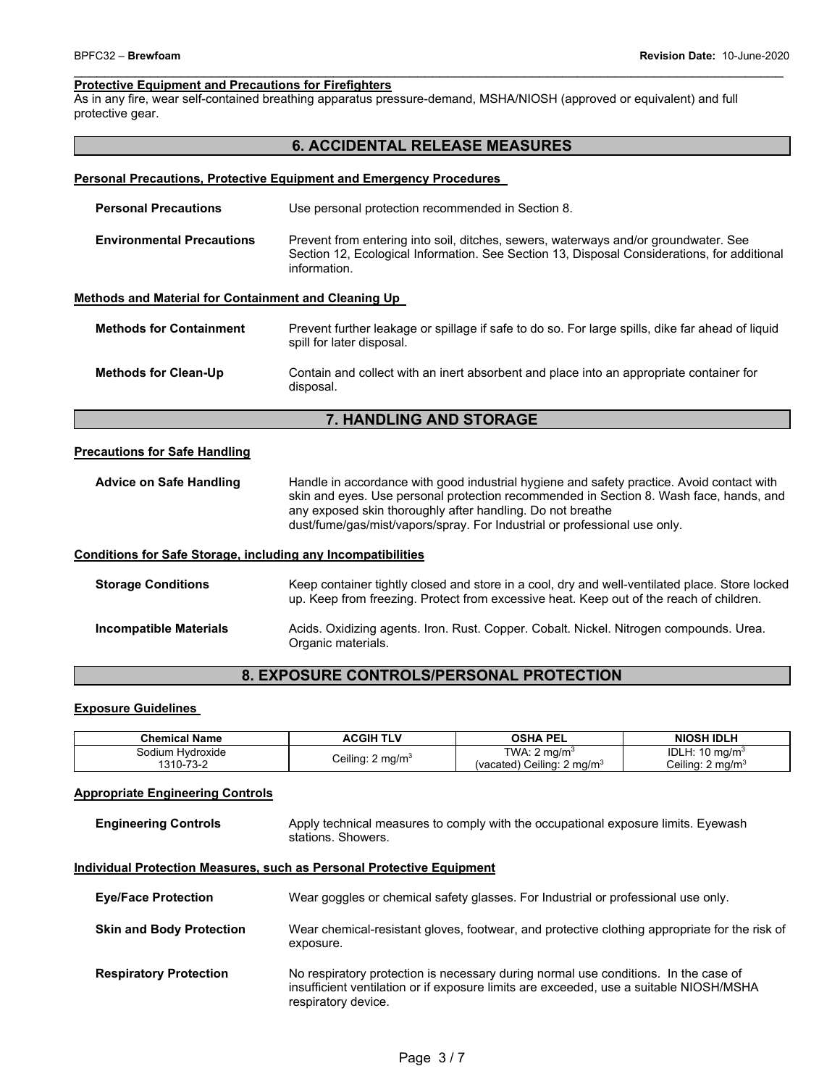#### **Protective Equipment and Precautions for Firefighters**

As in any fire, wear self-contained breathing apparatus pressure-demand, MSHA/NIOSH (approved or equivalent) and full protective gear.

|  |  | <b>6. ACCIDENTAL RELEASE MEASURES</b> |  |  |  |
|--|--|---------------------------------------|--|--|--|
|  |  |                                       |  |  |  |

|                                                      | Personal Precautions, Protective Equipment and Emergency Procedures                                                                                                                                |
|------------------------------------------------------|----------------------------------------------------------------------------------------------------------------------------------------------------------------------------------------------------|
| <b>Personal Precautions</b>                          | Use personal protection recommended in Section 8.                                                                                                                                                  |
| <b>Environmental Precautions</b>                     | Prevent from entering into soil, ditches, sewers, waterways and/or groundwater. See<br>Section 12, Ecological Information. See Section 13, Disposal Considerations, for additional<br>information. |
| Methods and Material for Containment and Cleaning Up |                                                                                                                                                                                                    |
| <b>Methods for Containment</b>                       | Prevent further leakage or spillage if safe to do so. For large spills, dike far ahead of liquid<br>spill for later disposal.                                                                      |
| <b>Methods for Clean-Up</b>                          | Contain and collect with an inert absorbent and place into an appropriate container for<br>disposal.                                                                                               |
|                                                      | 7. HANDLING AND STORAGE                                                                                                                                                                            |
| <b>Precautions for Safe Handling</b>                 |                                                                                                                                                                                                    |

**Advice on Safe Handling** Handle in accordance with good industrial hygiene and safety practice. Avoid contact with skin and eyes. Use personal protection recommended in Section 8. Wash face, hands, and any exposed skin thoroughly after handling. Do not breathe dust/fume/gas/mist/vapors/spray. For Industrial or professional use only.

#### **Conditions for Safe Storage, including any Incompatibilities**

| <b>Storage Conditions</b> | Keep container tightly closed and store in a cool, dry and well-ventilated place. Store locked<br>up. Keep from freezing. Protect from excessive heat. Keep out of the reach of children. |
|---------------------------|-------------------------------------------------------------------------------------------------------------------------------------------------------------------------------------------|
| Incompatible Materials    | Acids. Oxidizing agents. Iron. Rust. Copper. Cobalt. Nickel. Nitrogen compounds. Urea.<br>Organic materials.                                                                              |

# **8. EXPOSURE CONTROLS/PERSONAL PROTECTION**

#### **Exposure Guidelines**

| <b>Chemical Name</b>          | ACGIH TLV                   | OSHA PEL                                                         | <b>NIOSH IDLH</b>                                              |
|-------------------------------|-----------------------------|------------------------------------------------------------------|----------------------------------------------------------------|
| 3odium Hvdroxide<br>1310-73-2 | Ceiling: $2 \text{ mg/m}^3$ | TWA: $2 \text{ mq/m}^3$<br>(vacated) Ceiling: $2 \text{ ma/m}^3$ | IDLH: $10 \text{ mg/m}^3$<br>Ceiling: 2<br>' ma/m <sup>3</sup> |

#### **Appropriate Engineering Controls**

| <b>Engineering Controls</b> | Apply technical measures to comply with the occupational exposure limits. Eyewash |
|-----------------------------|-----------------------------------------------------------------------------------|
|                             | stations. Showers.                                                                |

#### **Individual Protection Measures, such as Personal Protective Equipment**

| <b>Eve/Face Protection</b>      | Wear goggles or chemical safety glasses. For Industrial or professional use only.                                                                                                                    |
|---------------------------------|------------------------------------------------------------------------------------------------------------------------------------------------------------------------------------------------------|
| <b>Skin and Body Protection</b> | Wear chemical-resistant gloves, footwear, and protective clothing appropriate for the risk of<br>exposure.                                                                                           |
| <b>Respiratory Protection</b>   | No respiratory protection is necessary during normal use conditions. In the case of<br>insufficient ventilation or if exposure limits are exceeded, use a suitable NIOSH/MSHA<br>respiratory device. |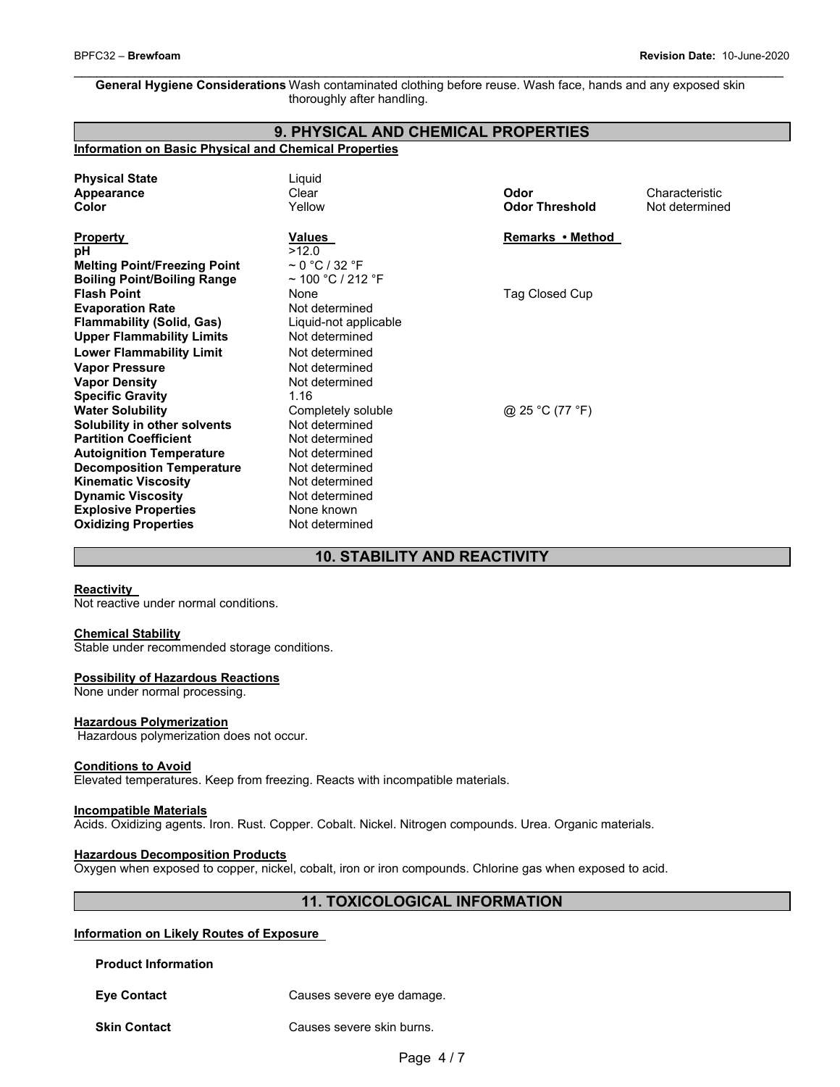**General Hygiene Considerations** Wash contaminated clothing before reuse. Wash face, hands and any exposed skin thoroughly after handling.

#### **9. PHYSICAL AND CHEMICAL PROPERTIES Information on Basic Physical and Chemical Properties Physical State** Liquid **Appearance** Clear **Odor** Characteristic **Color** Yellow **Odor Threshold** Not determined **Property Values Property Property Remarks • Method pH** >12.0 **Melting Point/Freezing Point ~ 0 °C / 32 °F<br>Boiling Point/Boiling Range ~ 100 °C / 212 °F Boiling Point/Boiling Range Flash Point Flash Point Point Point Point Point Point Point Point Point Point Point Point Point Point Point Point Point Point Point Point Point Point Point Point Point Point Point Point Point Point Point Point Point Point Point Point Evaporation Rate Not determined Flammability (Solid, Gas)** Liquid-not applicable **Upper Flammability Limits** Not determined **Lower Flammability Limit** Not determined **Vapor Pressure**  Not determined **Vapor Density Not determined Specific Gravity** 1.16 **Water Solubility Completely soluble**   $@$  25 °C (77 °F) **Solubility in other solvents** Not determined **Partition Coefficient Not determined Autoignition Temperature** Not determined **Decomposition Temperature** Not determined **Kinematic Viscosity Not determined Dynamic Viscosity Not determined Explosive Properties None known Oxidizing Properties Not determined**

#### **10. STABILITY AND REACTIVITY**

#### **Reactivity**

Not reactive under normal conditions.

#### **Chemical Stability**

Stable under recommended storage conditions.

#### **Possibility of Hazardous Reactions**

None under normal processing.

#### **Hazardous Polymerization**

Hazardous polymerization does not occur.

#### **Conditions to Avoid**

Elevated temperatures. Keep from freezing. Reacts with incompatible materials.

#### **Incompatible Materials**

Acids. Oxidizing agents. Iron. Rust. Copper. Cobalt. Nickel. Nitrogen compounds. Urea. Organic materials.

#### **Hazardous Decomposition Products**

Oxygen when exposed to copper, nickel, cobalt, iron or iron compounds. Chlorine gas when exposed to acid.

#### **11. TOXICOLOGICAL INFORMATION**

#### **Information on Likely Routes of Exposure**

**Product Information** 

**Eye Contact Causes severe eye damage.** 

**Skin Contact Causes severe skin burns.**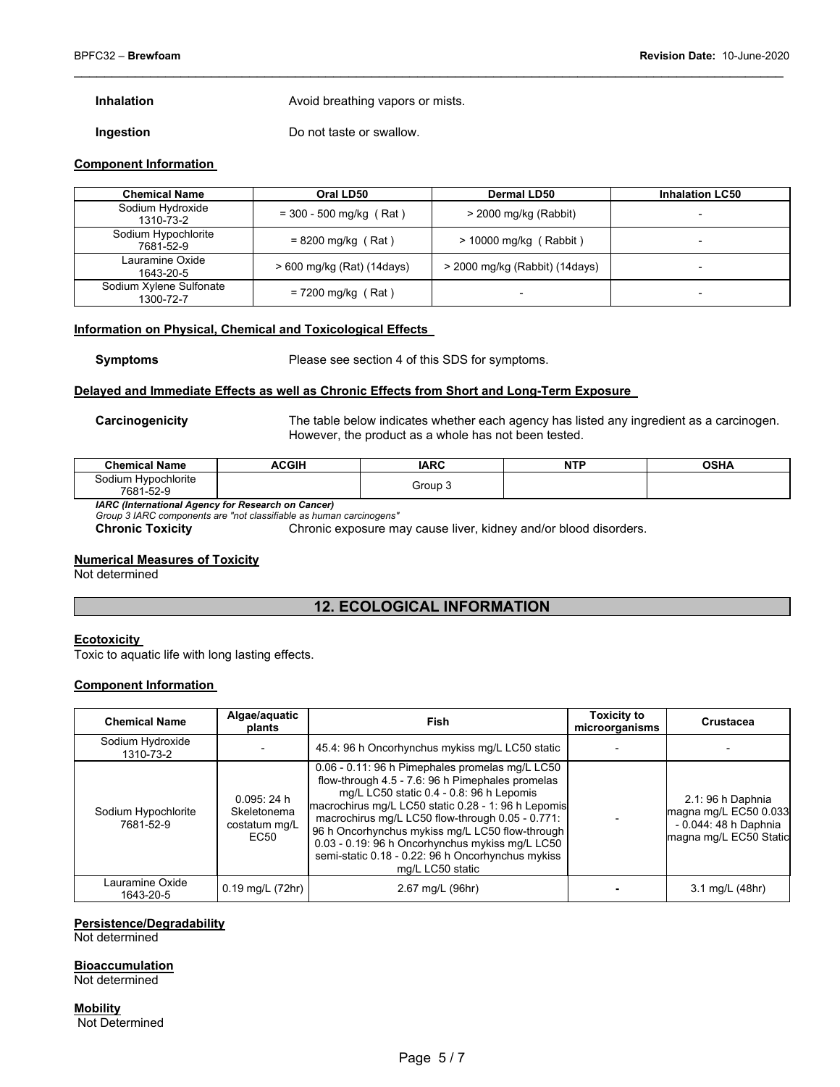**Inhalation Avoid breathing vapors or mists.** 

**Ingestion Do not taste or swallow.** 

#### **Component Information**

| <b>Chemical Name</b>                 | Oral LD50                    | <b>Dermal LD50</b>             | <b>Inhalation LC50</b>   |
|--------------------------------------|------------------------------|--------------------------------|--------------------------|
| Sodium Hydroxide<br>1310-73-2        | $=$ 300 - 500 mg/kg (Rat)    | $>$ 2000 mg/kg (Rabbit)        | $\overline{\phantom{0}}$ |
| Sodium Hypochlorite<br>7681-52-9     | $= 8200$ mg/kg (Rat)         | $>$ 10000 mg/kg (Rabbit)       | $\overline{\phantom{0}}$ |
| Lauramine Oxide<br>1643-20-5         | $> 600$ mg/kg (Rat) (14days) | > 2000 mg/kg (Rabbit) (14days) | $\overline{\phantom{0}}$ |
| Sodium Xylene Sulfonate<br>1300-72-7 | = 7200 mg/kg (Rat)           |                                | $\overline{\phantom{0}}$ |

#### **Information on Physical, Chemical and Toxicological Effects**

**Symptoms** Please see section 4 of this SDS for symptoms.

#### **Delayed and Immediate Effects as well as Chronic Effects from Short and Long-Term Exposure**

**Carcinogenicity** The table below indicates whether each agency has listed any ingredient as a carcinogen. However, the product as a whole has not been tested.

| <b>Chemical Name</b>                       | <b>ACGIH</b> | <b>IARC</b> | <b>NTP</b> | <b>OSHA</b> |
|--------------------------------------------|--------------|-------------|------------|-------------|
| odiumے<br><b>Hypochlorite</b><br>7681-52-9 |              | Group 3     |            |             |

*IARC (International Agency for Research on Cancer) Group 3 IARC components are "not classifiable as human carcinogens"* 

**Chronic Toxicity** Chronic exposure may cause liver, kidney and/or blood disorders.

#### **Numerical Measures of Toxicity**

Not determined

## **12. ECOLOGICAL INFORMATION**

#### **Ecotoxicity**

Toxic to aquatic life with long lasting effects.

#### **Component Information**

| <b>Chemical Name</b>             | Algae/aquatic<br>plants                           | <b>Fish</b>                                                                                                                                                                                                                                                                                                                                                                                                                               | <b>Toxicity to</b><br>microorganisms | Crustacea                                                                                     |
|----------------------------------|---------------------------------------------------|-------------------------------------------------------------------------------------------------------------------------------------------------------------------------------------------------------------------------------------------------------------------------------------------------------------------------------------------------------------------------------------------------------------------------------------------|--------------------------------------|-----------------------------------------------------------------------------------------------|
| Sodium Hydroxide<br>1310-73-2    |                                                   | 45.4: 96 h Oncorhynchus mykiss mg/L LC50 static                                                                                                                                                                                                                                                                                                                                                                                           |                                      |                                                                                               |
| Sodium Hypochlorite<br>7681-52-9 | 0.095:24h<br>Skeletonema<br>costatum mg/L<br>EC50 | 0.06 - 0.11: 96 h Pimephales promelas mg/L LC50<br>flow-through 4.5 - 7.6: 96 h Pimephales promelas<br>mg/L LC50 static 0.4 - 0.8: 96 h Lepomis<br>macrochirus mg/L LC50 static 0.28 - 1: 96 h Lepomis<br>macrochirus mg/L LC50 flow-through 0.05 - 0.771:<br>96 h Oncorhynchus mykiss mg/L LC50 flow-through<br>0.03 - 0.19: 96 h Oncorhynchus mykiss mg/L LC50<br>semi-static 0.18 - 0.22: 96 h Oncorhynchus mykiss<br>mg/L LC50 static |                                      | 2.1: 96 h Daphnia<br>magna mg/L EC50 0.033<br>- 0.044: 48 h Daphnia<br>magna mg/L EC50 Static |
| Lauramine Oxide<br>1643-20-5     | 0.19 mg/L (72hr)                                  | 2.67 mg/L (96hr)                                                                                                                                                                                                                                                                                                                                                                                                                          |                                      | 3.1 mg/L (48hr)                                                                               |

#### **Persistence/Degradability**

Not determined

**Bioaccumulation** 

Not determined

# **Mobility**

Not Determined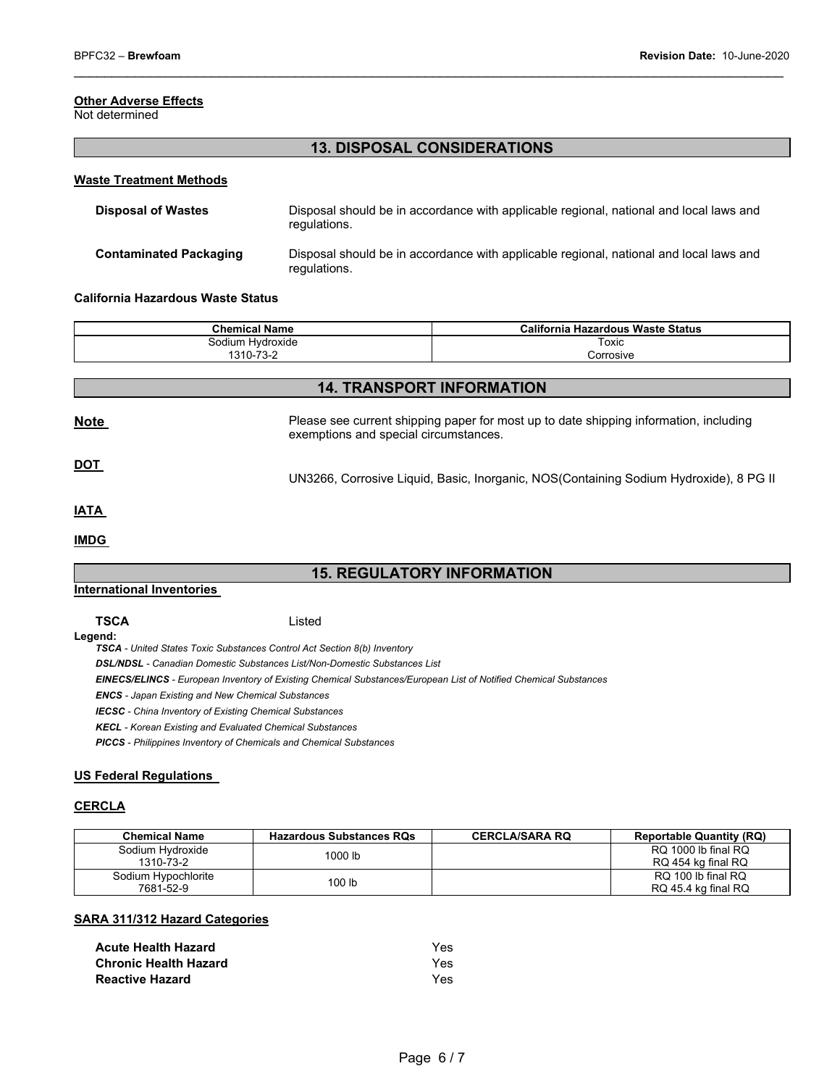### **Other Adverse Effects**

Not determined

### **13. DISPOSAL CONSIDERATIONS**

#### **Waste Treatment Methods**

| <b>Disposal of Wastes</b>     | Disposal should be in accordance with applicable regional, national and local laws and<br>regulations. |
|-------------------------------|--------------------------------------------------------------------------------------------------------|
| <b>Contaminated Packaging</b> | Disposal should be in accordance with applicable regional, national and local laws and<br>regulations. |

#### **California Hazardous Waste Status**

| <b>Chemical Name</b>          | <b>California</b><br>ı Hazardous Waste Status |  |
|-------------------------------|-----------------------------------------------|--|
| Sodium Hydroxide<br>1310-73-2 | Toxic<br>Corrosive                            |  |
|                               |                                               |  |

| <b>14. TRANSPORT INFORMATION</b> |                                                                                                                                |  |  |  |
|----------------------------------|--------------------------------------------------------------------------------------------------------------------------------|--|--|--|
| <b>Note</b>                      | Please see current shipping paper for most up to date shipping information, including<br>exemptions and special circumstances. |  |  |  |
| <u>DOT</u>                       | UN3266, Corrosive Liquid, Basic, Inorganic, NOS(Containing Sodium Hydroxide), 8 PG II                                          |  |  |  |
| <b>IATA</b>                      |                                                                                                                                |  |  |  |
| <b>IMDG</b>                      |                                                                                                                                |  |  |  |

# **15. REGULATORY INFORMATION**

#### **International Inventories**

# **TSCA** Listed

**Legend:** 

*TSCA - United States Toxic Substances Control Act Section 8(b) Inventory* 

*DSL/NDSL - Canadian Domestic Substances List/Non-Domestic Substances List* 

*EINECS/ELINCS - European Inventory of Existing Chemical Substances/European List of Notified Chemical Substances* 

*ENCS - Japan Existing and New Chemical Substances* 

*IECSC - China Inventory of Existing Chemical Substances* 

*KECL - Korean Existing and Evaluated Chemical Substances* 

*PICCS - Philippines Inventory of Chemicals and Chemical Substances* 

#### **US Federal Regulations**

#### **CERCLA**

| <b>Chemical Name</b> | <b>Hazardous Substances RQs</b> | <b>CERCLA/SARA RO</b> | <b>Reportable Quantity (RQ)</b> |
|----------------------|---------------------------------|-----------------------|---------------------------------|
| Sodium Hydroxide     | 1000 lb                         |                       | RQ 1000 lb final RQ             |
| 1310-73-2            |                                 |                       | RQ 454 kg final RQ              |
| Sodium Hypochlorite  | 100 lb                          |                       | RQ 100 lb final RQ              |
| 7681-52-9            |                                 |                       | RQ 45.4 kg final RQ             |

#### **SARA 311/312 Hazard Categories**

| <b>Acute Health Hazard</b>   | Yes  |
|------------------------------|------|
| <b>Chronic Health Hazard</b> | Yes  |
| <b>Reactive Hazard</b>       | Yes. |